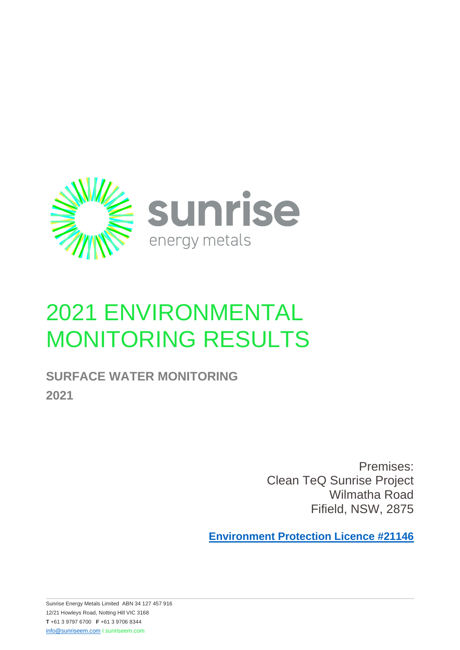

## 2021 ENVIRONMENTAL MONITORING RESULTS

## **SURFACE WATER MONITORING 2021**

Premises: Clean TeQ Sunrise Project Wilmatha Road Fifield, NSW, 2875

**[Environment Protection Licence #21146](https://apps.epa.nsw.gov.au/prpoeoapp/ViewPOEOLicence.aspx?DOCID=186059&SYSUID=1&LICID=21146)**